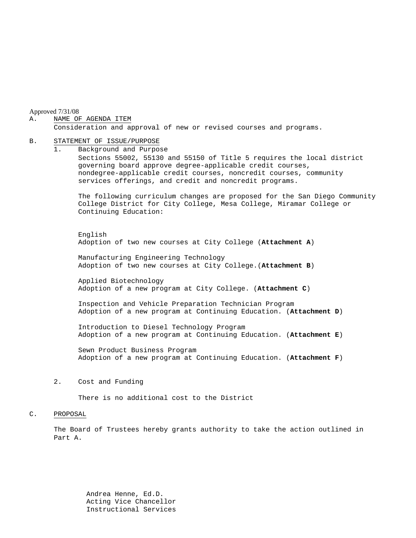Approved 7/31/08

#### A. NAME OF AGENDA ITEM

Consideration and approval of new or revised courses and programs.

#### B. STATEMENT OF ISSUE/PURPOSE

1. Background and Purpose Sections 55002, 55130 and 55150 of Title 5 requires the local district governing board approve degree-applicable credit courses, nondegree-applicable credit courses, noncredit courses, community services offerings, and credit and noncredit programs.

The following curriculum changes are proposed for the San Diego Community College District for City College, Mesa College, Miramar College or Continuing Education:

 English Adoption of two new courses at City College (**Attachment A**)

Manufacturing Engineering Technology Adoption of two new courses at City College.(**Attachment B**)

Applied Biotechnology Adoption of a new program at City College. (**Attachment C**)

Inspection and Vehicle Preparation Technician Program Adoption of a new program at Continuing Education. (**Attachment D**)

Introduction to Diesel Technology Program Adoption of a new program at Continuing Education. (**Attachment E**)

Sewn Product Business Program Adoption of a new program at Continuing Education. (**Attachment F**)

2. Cost and Funding

There is no additional cost to the District

#### C. PROPOSAL

The Board of Trustees hereby grants authority to take the action outlined in Part A.

 Andrea Henne, Ed.D. Acting Vice Chancellor Instructional Services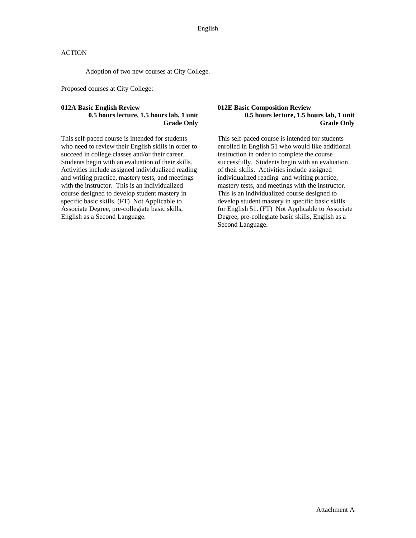### **ACTION**

Adoption of two new courses at City College.

Proposed courses at City College:

#### **012A Basic English Review 0.5 hours lecture, 1.5 hours lab, 1 unit Grade Only**

This self-paced course is intended for students who need to review their English skills in order to succeed in college classes and/or their career. Students begin with an evaluation of their skills. Activities include assigned individualized reading and writing practice, mastery tests, and meetings with the instructor. This is an individualized course designed to develop student mastery in specific basic skills. (FT) Not Applicable to Associate Degree, pre-collegiate basic skills, English as a Second Language.

#### **012E Basic Composition Review 0.5 hours lecture, 1.5 hours lab, 1 unit Grade Only**

This self-paced course is intended for students enrolled in English 51 who would like additional instruction in order to complete the course successfully. Students begin with an evaluation of their skills. Activities include assigned individualized reading and writing practice, mastery tests, and meetings with the instructor. This is an individualized course designed to develop student mastery in specific basic skills for English 51. (FT) Not Applicable to Associate Degree, pre-collegiate basic skills, English as a Second Language.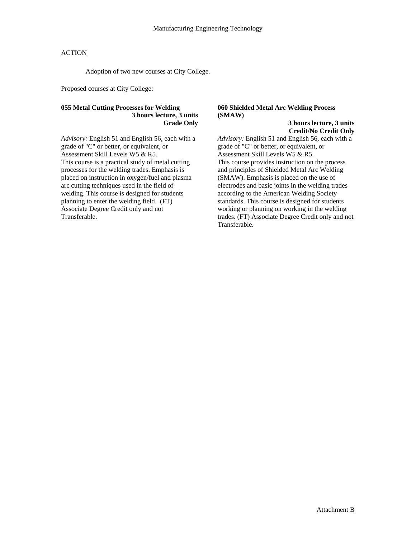### ACTION

Adoption of two new courses at City College.

Proposed courses at City College:

#### **055 Metal Cutting Processes for Welding 3 hours lecture, 3 units Grade Only**

*Advisory:* English 51 and English 56, each with a grade of "C" or better, or equivalent, or Assessment Skill Levels W5 & R5. This course is a practical study of metal cutting processes for the welding trades. Emphasis is placed on instruction in oxygen/fuel and plasma arc cutting techniques used in the field of welding. This course is designed for students planning to enter the welding field. (FT) Associate Degree Credit only and not Transferable.

### **060 Shielded Metal Arc Welding Process (SMAW)**

**3 hours lecture, 3 units Credit/No Credit Only** 

*Advisory:* English 51 and English 56, each with a grade of "C" or better, or equivalent, or Assessment Skill Levels W5 & R5. This course provides instruction on the process and principles of Shielded Metal Arc Welding (SMAW). Emphasis is placed on the use of electrodes and basic joints in the welding trades according to the American Welding Society standards. This course is designed for students working or planning on working in the welding trades. (FT) Associate Degree Credit only and not Transferable.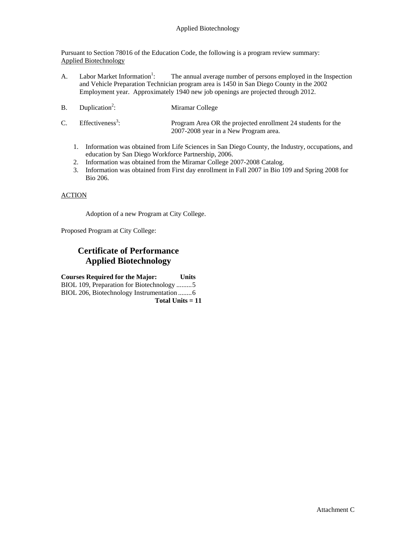### Applied Biotechnology

Pursuant to Section 78016 of the Education Code, the following is a program review summary: Applied Biotechnology

- A. Labor Market Information<sup>1</sup>: : The annual average number of persons employed in the Inspection and Vehicle Preparation Technician program area is 1450 in San Diego County in the 2002 Employment year. Approximately 1940 new job openings are projected through 2012.
- $B.$  Duplication<sup>2</sup>: Miramar College
- $C.$  Effectiveness<sup>3</sup>: : Program Area OR the projected enrollment 24 students for the 2007-2008 year in a New Program area.
	- 1. Information was obtained from Life Sciences in San Diego County, the Industry, occupations, and education by San Diego Workforce Partnership, 2006.
	- 2. Information was obtained from the Miramar College 2007-2008 Catalog.
	- 3. Information was obtained from First day enrollment in Fall 2007 in Bio 109 and Spring 2008 for Bio 206.

#### ACTION

Adoption of a new Program at City College.

Proposed Program at City College:

## **Certificate of Performance Applied Biotechnology**

**Courses Required for the Major: Units**  BIOL 109, Preparation for Biotechnology .........5 BIOL 206, Biotechnology Instrumentation ........6 **Total Units = 11**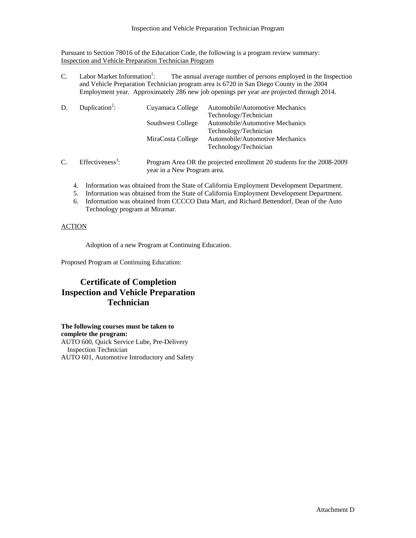### Inspection and Vehicle Preparation Technician Program

Pursuant to Section 78016 of the Education Code, the following is a program review summary: Inspection and Vehicle Preparation Technician Program

 $C.$  Labor Market Information<sup>1</sup>: : The annual average number of persons employed in the Inspection and Vehicle Preparation Technician program area is 6720 in San Diego County in the 2004 Employment year. Approximately 286 new job openings per year are projected through 2014.

| D.              | Duplication <sup>2</sup> :   | Cuyamaca College                                                    | Automobile/Automotive Mechanics |
|-----------------|------------------------------|---------------------------------------------------------------------|---------------------------------|
|                 |                              |                                                                     | Technology/Technician           |
|                 |                              | Southwest College                                                   | Automobile/Automotive Mechanics |
|                 |                              |                                                                     | Technology/Technician           |
|                 |                              | MiraCosta College                                                   | Automobile/Automotive Mechanics |
|                 |                              |                                                                     | Technology/Technician           |
| $\mathcal{C}$ . | Effectiveness <sup>3</sup> : | Program Area OR the projected enrollment 20 students for the 2008-2 |                                 |

- : Program Area OR the projected enrollment 20 students for the 2008-2009 year in a New Program area.
	- 4. Information was obtained from the State of California Employment Development Department.
	- 5. Information was obtained from the State of California Employment Development Department.
	- 6. Information was obtained from CCCCO Data Mart, and Richard Bettendorf, Dean of the Auto Technology program at Miramar.

### **ACTION**

Adoption of a new Program at Continuing Education.

Proposed Program at Continuing Education:

# **Certificate of Completion Inspection and Vehicle Preparation Technician**

**The following courses must be taken to complete the program:**  AUTO 600, Quick Service Lube, Pre-Delivery Inspection Technician AUTO 601, Automotive Introductory and Safety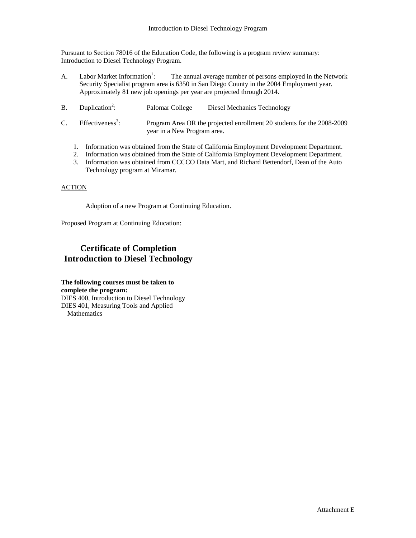Pursuant to Section 78016 of the Education Code, the following is a program review summary: Introduction to Diesel Technology Program.

- A. Labor Market Information<sup>1</sup>: : The annual average number of persons employed in the Network Security Specialist program area is 6350 in San Diego County in the 2004 Employment year. Approximately 81 new job openings per year are projected through 2014.
- $B.$  Duplication<sup>2</sup>: Palomar College Diesel Mechanics Technology
- $C.$  Effectiveness<sup>3</sup>: : Program Area OR the projected enrollment 20 students for the 2008-2009 year in a New Program area.
	- 1. Information was obtained from the State of California Employment Development Department.
	- 2. Information was obtained from the State of California Employment Development Department.
	- 3. Information was obtained from CCCCO Data Mart, and Richard Bettendorf, Dean of the Auto Technology program at Miramar.

#### **ACTION**

Adoption of a new Program at Continuing Education.

Proposed Program at Continuing Education:

## **Certificate of Completion Introduction to Diesel Technology**

**The following courses must be taken to complete the program:**  DIES 400, Introduction to Diesel Technology DIES 401, Measuring Tools and Applied Mathematics